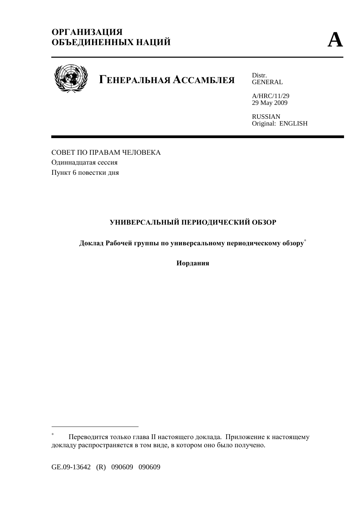# **ОРГАНИЗАЦИЯ ОБЪЕДИНЕННЫХ НАЦИЙ A**



# **ГЕНЕРАЛЬНАЯ АССАМБЛЕЯ** Distr.

GENERAL

A/HRC/11/29 29 May 2009

RUSSIAN Original: ENGLISH

СОВЕТ ПО ПРАВАМ ЧЕЛОВЕКА Одиннадцатая сессия Пункт 6 повестки дня

# **УНИВЕРСАЛЬНЫЙ ПЕРИОДИЧЕСКИЙ ОБЗОР**

**Доклад Рабочей группы по универсальному периодическому обзору**<sup>∗</sup>

**Иордания**

 $\overline{a}$ 

<sup>∗</sup> Переводится только глава II настоящего доклада. Приложение к настоящему докладу распространяется в том виде, в котором оно было получено.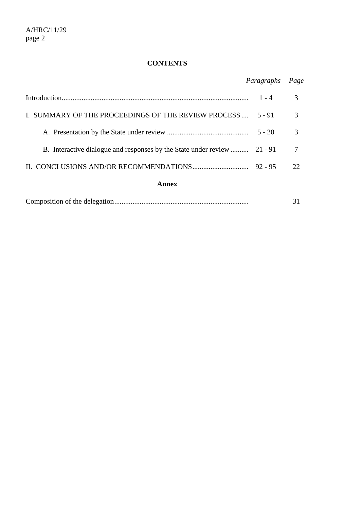# **CONTENTS**

# *Paragraphs Page*

|                                                                          | $1 - 4$   |              |
|--------------------------------------------------------------------------|-----------|--------------|
| I. SUMMARY OF THE PROCEEDINGS OF THE REVIEW PROCESS                      | $5 - 91$  |              |
|                                                                          | $5 - 20$  |              |
| B. Interactive dialogue and responses by the State under review  21 - 91 |           |              |
|                                                                          | $92 - 95$ | $22^{\circ}$ |
| Annex                                                                    |           |              |

|--|--|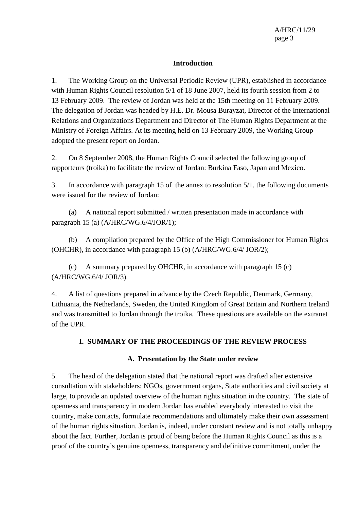#### **Introduction**

1. The Working Group on the Universal Periodic Review (UPR), established in accordance with Human Rights Council resolution 5/1 of 18 June 2007, held its fourth session from 2 to 13 February 2009. The review of Jordan was held at the 15th meeting on 11 February 2009. The delegation of Jordan was headed by H.E. Dr. Mousa Burayzat, Director of the International Relations and Organizations Department and Director of The Human Rights Department at the Ministry of Foreign Affairs. At its meeting held on 13 February 2009, the Working Group adopted the present report on Jordan.

2. On 8 September 2008, the Human Rights Council selected the following group of rapporteurs (troika) to facilitate the review of Jordan: Burkina Faso, Japan and Mexico.

3. In accordance with paragraph 15 of the annex to resolution 5/1, the following documents were issued for the review of Jordan:

 (a) A national report submitted / written presentation made in accordance with paragraph 15 (a) (A/HRC/WG.6/4/JOR/1);

 (b) A compilation prepared by the Office of the High Commissioner for Human Rights (OHCHR), in accordance with paragraph 15 (b) (A/HRC/WG.6/4/ JOR/2);

 (c) A summary prepared by OHCHR, in accordance with paragraph 15 (c) (A/HRC/WG.6/4/ JOR/3).

4. A list of questions prepared in advance by the Czech Republic, Denmark, Germany, Lithuania, the Netherlands, Sweden, the United Kingdom of Great Britain and Northern Ireland and was transmitted to Jordan through the troika. These questions are available on the extranet of the UPR.

#### **I. SUMMARY OF THE PROCEEDINGS OF THE REVIEW PROCESS**

#### **A. Presentation by the State under review**

5. The head of the delegation stated that the national report was drafted after extensive consultation with stakeholders: NGOs, government organs, State authorities and civil society at large, to provide an updated overview of the human rights situation in the country. The state of openness and transparency in modern Jordan has enabled everybody interested to visit the country, make contacts, formulate recommendations and ultimately make their own assessment of the human rights situation. Jordan is, indeed, under constant review and is not totally unhappy about the fact. Further, Jordan is proud of being before the Human Rights Council as this is a proof of the country's genuine openness, transparency and definitive commitment, under the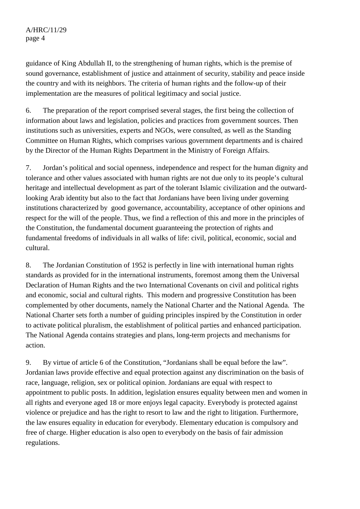guidance of King Abdullah II, to the strengthening of human rights, which is the premise of sound governance, establishment of justice and attainment of security, stability and peace inside the country and with its neighbors. The criteria of human rights and the follow-up of their implementation are the measures of political legitimacy and social justice.

6. The preparation of the report comprised several stages, the first being the collection of information about laws and legislation, policies and practices from government sources. Then institutions such as universities, experts and NGOs, were consulted, as well as the Standing Committee on Human Rights, which comprises various government departments and is chaired by the Director of the Human Rights Department in the Ministry of Foreign Affairs.

7. Jordan's political and social openness, independence and respect for the human dignity and tolerance and other values associated with human rights are not due only to its people's cultural heritage and intellectual development as part of the tolerant Islamic civilization and the outwardlooking Arab identity but also to the fact that Jordanians have been living under governing institutions characterized by good governance, accountability, acceptance of other opinions and respect for the will of the people. Thus, we find a reflection of this and more in the principles of the Constitution, the fundamental document guaranteeing the protection of rights and fundamental freedoms of individuals in all walks of life: civil, political, economic, social and cultural.

8. The Jordanian Constitution of 1952 is perfectly in line with international human rights standards as provided for in the international instruments, foremost among them the Universal Declaration of Human Rights and the two International Covenants on civil and political rights and economic, social and cultural rights. This modern and progressive Constitution has been complemented by other documents, namely the National Charter and the National Agenda. The National Charter sets forth a number of guiding principles inspired by the Constitution in order to activate political pluralism, the establishment of political parties and enhanced participation. The National Agenda contains strategies and plans, long-term projects and mechanisms for action.

9. By virtue of article 6 of the Constitution, "Jordanians shall be equal before the law". Jordanian laws provide effective and equal protection against any discrimination on the basis of race, language, religion, sex or political opinion. Jordanians are equal with respect to appointment to public posts. In addition, legislation ensures equality between men and women in all rights and everyone aged 18 or more enjoys legal capacity. Everybody is protected against violence or prejudice and has the right to resort to law and the right to litigation. Furthermore, the law ensures equality in education for everybody. Elementary education is compulsory and free of charge. Higher education is also open to everybody on the basis of fair admission regulations.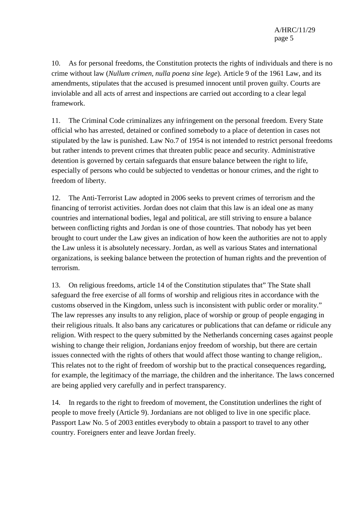A/HRC/11/29 page 5

10. As for personal freedoms, the Constitution protects the rights of individuals and there is no crime without law (*Nullum crimen, nulla poena sine lege*). Article 9 of the 1961 Law, and its amendments, stipulates that the accused is presumed innocent until proven guilty. Courts are inviolable and all acts of arrest and inspections are carried out according to a clear legal framework.

11. The Criminal Code criminalizes any infringement on the personal freedom. Every State official who has arrested, detained or confined somebody to a place of detention in cases not stipulated by the law is punished. Law No.7 of 1954 is not intended to restrict personal freedoms but rather intends to prevent crimes that threaten public peace and security. Administrative detention is governed by certain safeguards that ensure balance between the right to life, especially of persons who could be subjected to vendettas or honour crimes, and the right to freedom of liberty.

12. The Anti-Terrorist Law adopted in 2006 seeks to prevent crimes of terrorism and the financing of terrorist activities. Jordan does not claim that this law is an ideal one as many countries and international bodies, legal and political, are still striving to ensure a balance between conflicting rights and Jordan is one of those countries. That nobody has yet been brought to court under the Law gives an indication of how keen the authorities are not to apply the Law unless it is absolutely necessary. Jordan, as well as various States and international organizations, is seeking balance between the protection of human rights and the prevention of terrorism.

13. On religious freedoms, article 14 of the Constitution stipulates that" The State shall safeguard the free exercise of all forms of worship and religious rites in accordance with the customs observed in the Kingdom, unless such is inconsistent with public order or morality." The law represses any insults to any religion, place of worship or group of people engaging in their religious rituals. It also bans any caricatures or publications that can defame or ridicule any religion. With respect to the query submitted by the Netherlands concerning cases against people wishing to change their religion, Jordanians enjoy freedom of worship, but there are certain issues connected with the rights of others that would affect those wanting to change religion,. This relates not to the right of freedom of worship but to the practical consequences regarding, for example, the legitimacy of the marriage, the children and the inheritance. The laws concerned are being applied very carefully and in perfect transparency.

14. In regards to the right to freedom of movement, the Constitution underlines the right of people to move freely (Article 9). Jordanians are not obliged to live in one specific place. Passport Law No. 5 of 2003 entitles everybody to obtain a passport to travel to any other country. Foreigners enter and leave Jordan freely.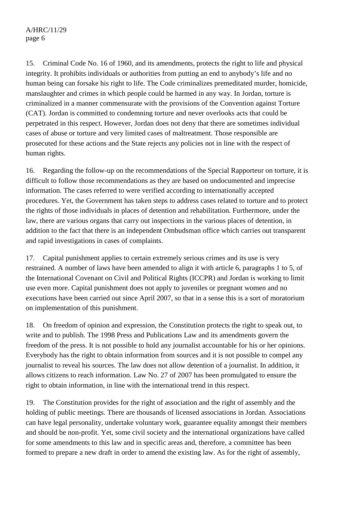### A/HRC/11/29 page 6

15. Criminal Code No. 16 of 1960, and its amendments, protects the right to life and physical integrity. It prohibits individuals or authorities from putting an end to anybody's life and no human being can forsake his right to life. The Code criminalizes premeditated murder, homicide, manslaughter and crimes in which people could be harmed in any way. In Jordan, torture is criminalized in a manner commensurate with the provisions of the Convention against Torture (CAT). Jordan is committed to condemning torture and never overlooks acts that could be perpetrated in this respect. However, Jordan does not deny that there are sometimes individual cases of abuse or torture and very limited cases of maltreatment. Those responsible are prosecuted for these actions and the State rejects any policies not in line with the respect of human rights.

16. Regarding the follow-up on the recommendations of the Special Rapporteur on torture, it is difficult to follow those recommendations as they are based on undocumented and imprecise information. The cases referred to were verified according to internationally accepted procedures. Yet, the Government has taken steps to address cases related to torture and to protect the rights of those individuals in places of detention and rehabilitation. Furthermore, under the law, there are various organs that carry out inspections in the various places of detention, in addition to the fact that there is an independent Ombudsman office which carries out transparent and rapid investigations in cases of complaints.

17. Capital punishment applies to certain extremely serious crimes and its use is very restrained. A number of laws have been amended to align it with article 6, paragraphs 1 to 5, of the International Covenant on Civil and Political Rights (ICCPR) and Jordan is working to limit use even more. Capital punishment does not apply to juveniles or pregnant women and no executions have been carried out since April 2007, so that in a sense this is a sort of moratorium on implementation of this punishment.

18. On freedom of opinion and expression, the Constitution protects the right to speak out, to write and to publish. The 1998 Press and Publications Law and its amendments govern the freedom of the press. It is not possible to hold any journalist accountable for his or her opinions. Everybody has the right to obtain information from sources and it is not possible to compel any journalist to reveal his sources. The law does not allow detention of a journalist. In addition, it allows citizens to reach information. Law No. 27 of 2007 has been promulgated to ensure the right to obtain information, in line with the international trend in this respect.

19. The Constitution provides for the right of association and the right of assembly and the holding of public meetings. There are thousands of licensed associations in Jordan. Associations can have legal personality, undertake voluntary work, guarantee equality amongst their members and should be non-profit. Yet, some civil society and the international organizations have called for some amendments to this law and in specific areas and, therefore, a committee has been formed to prepare a new draft in order to amend the existing law. As for the right of assembly,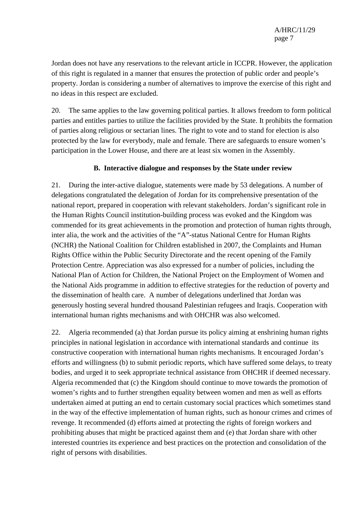Jordan does not have any reservations to the relevant article in ICCPR. However, the application of this right is regulated in a manner that ensures the protection of public order and people's property. Jordan is considering a number of alternatives to improve the exercise of this right and no ideas in this respect are excluded.

20. The same applies to the law governing political parties. It allows freedom to form political parties and entitles parties to utilize the facilities provided by the State. It prohibits the formation of parties along religious or sectarian lines. The right to vote and to stand for election is also protected by the law for everybody, male and female. There are safeguards to ensure women's participation in the Lower House, and there are at least six women in the Assembly.

#### **B. Interactive dialogue and responses by the State under review**

21. During the inter-active dialogue, statements were made by 53 delegations. A number of delegations congratulated the delegation of Jordan for its comprehensive presentation of the national report, prepared in cooperation with relevant stakeholders. Jordan's significant role in the Human Rights Council institution-building process was evoked and the Kingdom was commended for its great achievements in the promotion and protection of human rights through, inter alia, the work and the activities of the "A"-status National Centre for Human Rights (NCHR) the National Coalition for Children established in 2007, the Complaints and Human Rights Office within the Public Security Directorate and the recent opening of the Family Protection Centre. Appreciation was also expressed for a number of policies, including the National Plan of Action for Children, the National Project on the Employment of Women and the National Aids programme in addition to effective strategies for the reduction of poverty and the dissemination of health care. A number of delegations underlined that Jordan was generously hosting several hundred thousand Palestinian refugees and Iraqis. Cooperation with international human rights mechanisms and with OHCHR was also welcomed.

22. Algeria recommended (a) that Jordan pursue its policy aiming at enshrining human rights principles in national legislation in accordance with international standards and continue its constructive cooperation with international human rights mechanisms. It encouraged Jordan's efforts and willingness (b) to submit periodic reports, which have suffered some delays, to treaty bodies, and urged it to seek appropriate technical assistance from OHCHR if deemed necessary. Algeria recommended that (c) the Kingdom should continue to move towards the promotion of women's rights and to further strengthen equality between women and men as well as efforts undertaken aimed at putting an end to certain customary social practices which sometimes stand in the way of the effective implementation of human rights, such as honour crimes and crimes of revenge. It recommended (d) efforts aimed at protecting the rights of foreign workers and prohibiting abuses that might be practiced against them and (e) that Jordan share with other interested countries its experience and best practices on the protection and consolidation of the right of persons with disabilities.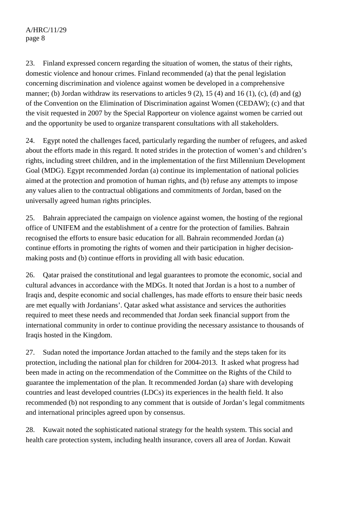## A/HRC/11/29 page 8

23. Finland expressed concern regarding the situation of women, the status of their rights, domestic violence and honour crimes. Finland recommended (a) that the penal legislation concerning discrimination and violence against women be developed in a comprehensive manner; (b) Jordan withdraw its reservations to articles  $9(2)$ , 15 (4) and 16 (1), (c), (d) and (g) of the Convention on the Elimination of Discrimination against Women (CEDAW); (c) and that the visit requested in 2007 by the Special Rapporteur on violence against women be carried out and the opportunity be used to organize transparent consultations with all stakeholders.

24. Egypt noted the challenges faced, particularly regarding the number of refugees, and asked about the efforts made in this regard. It noted strides in the protection of women's and children's rights, including street children, and in the implementation of the first Millennium Development Goal (MDG). Egypt recommended Jordan (a) continue its implementation of national policies aimed at the protection and promotion of human rights, and (b) refuse any attempts to impose any values alien to the contractual obligations and commitments of Jordan, based on the universally agreed human rights principles.

25. Bahrain appreciated the campaign on violence against women, the hosting of the regional office of UNIFEM and the establishment of a centre for the protection of families. Bahrain recognised the efforts to ensure basic education for all. Bahrain recommended Jordan (a) continue efforts in promoting the rights of women and their participation in higher decisionmaking posts and (b) continue efforts in providing all with basic education.

26. Qatar praised the constitutional and legal guarantees to promote the economic, social and cultural advances in accordance with the MDGs. It noted that Jordan is a host to a number of Iraqis and, despite economic and social challenges, has made efforts to ensure their basic needs are met equally with Jordanians'. Qatar asked what assistance and services the authorities required to meet these needs and recommended that Jordan seek financial support from the international community in order to continue providing the necessary assistance to thousands of Iraqis hosted in the Kingdom.

27. Sudan noted the importance Jordan attached to the family and the steps taken for its protection, including the national plan for children for 2004-2013. It asked what progress had been made in acting on the recommendation of the Committee on the Rights of the Child to guarantee the implementation of the plan. It recommended Jordan (a) share with developing countries and least developed countries (LDCs) its experiences in the health field. It also recommended (b) not responding to any comment that is outside of Jordan's legal commitments and international principles agreed upon by consensus.

28. Kuwait noted the sophisticated national strategy for the health system. This social and health care protection system, including health insurance, covers all area of Jordan. Kuwait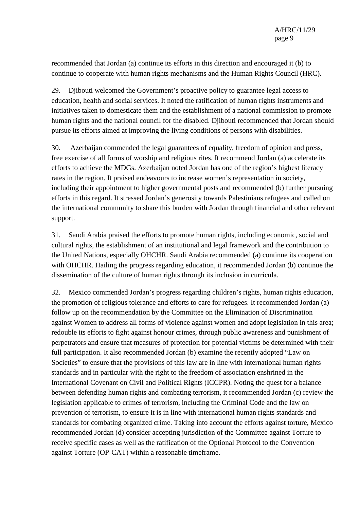recommended that Jordan (a) continue its efforts in this direction and encouraged it (b) to continue to cooperate with human rights mechanisms and the Human Rights Council (HRC).

29. Djibouti welcomed the Government's proactive policy to guarantee legal access to education, health and social services. It noted the ratification of human rights instruments and initiatives taken to domesticate them and the establishment of a national commission to promote human rights and the national council for the disabled. Djibouti recommended that Jordan should pursue its efforts aimed at improving the living conditions of persons with disabilities.

30. Azerbaijan commended the legal guarantees of equality, freedom of opinion and press, free exercise of all forms of worship and religious rites. It recommend Jordan (a) accelerate its efforts to achieve the MDGs. Azerbaijan noted Jordan has one of the region's highest literacy rates in the region. It praised endeavours to increase women's representation in society, including their appointment to higher governmental posts and recommended (b) further pursuing efforts in this regard. It stressed Jordan's generosity towards Palestinians refugees and called on the international community to share this burden with Jordan through financial and other relevant support.

31. Saudi Arabia praised the efforts to promote human rights, including economic, social and cultural rights, the establishment of an institutional and legal framework and the contribution to the United Nations, especially OHCHR. Saudi Arabia recommended (a) continue its cooperation with OHCHR. Hailing the progress regarding education, it recommended Jordan (b) continue the dissemination of the culture of human rights through its inclusion in curricula.

32. Mexico commended Jordan's progress regarding children's rights, human rights education, the promotion of religious tolerance and efforts to care for refugees. It recommended Jordan (a) follow up on the recommendation by the Committee on the Elimination of Discrimination against Women to address all forms of violence against women and adopt legislation in this area; redouble its efforts to fight against honour crimes, through public awareness and punishment of perpetrators and ensure that measures of protection for potential victims be determined with their full participation. It also recommended Jordan (b) examine the recently adopted "Law on Societies" to ensure that the provisions of this law are in line with international human rights standards and in particular with the right to the freedom of association enshrined in the International Covenant on Civil and Political Rights (ICCPR). Noting the quest for a balance between defending human rights and combating terrorism, it recommended Jordan (c) review the legislation applicable to crimes of terrorism, including the Criminal Code and the law on prevention of terrorism, to ensure it is in line with international human rights standards and standards for combating organized crime. Taking into account the efforts against torture, Mexico recommended Jordan (d) consider accepting jurisdiction of the Committee against Torture to receive specific cases as well as the ratification of the Optional Protocol to the Convention against Torture (OP-CAT) within a reasonable timeframe.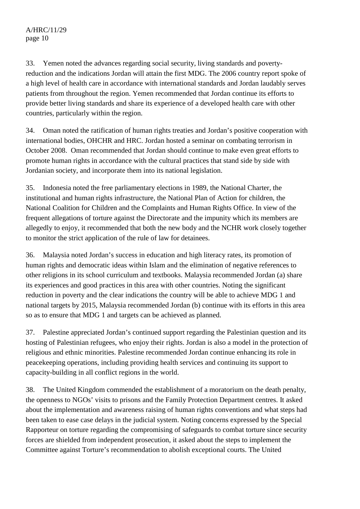A/HRC/11/29 page 10

33. Yemen noted the advances regarding social security, living standards and povertyreduction and the indications Jordan will attain the first MDG. The 2006 country report spoke of a high level of health care in accordance with international standards and Jordan laudably serves patients from throughout the region. Yemen recommended that Jordan continue its efforts to provide better living standards and share its experience of a developed health care with other countries, particularly within the region.

34. Oman noted the ratification of human rights treaties and Jordan's positive cooperation with international bodies, OHCHR and HRC. Jordan hosted a seminar on combating terrorism in October 2008. Oman recommended that Jordan should continue to make even great efforts to promote human rights in accordance with the cultural practices that stand side by side with Jordanian society, and incorporate them into its national legislation.

35. Indonesia noted the free parliamentary elections in 1989, the National Charter, the institutional and human rights infrastructure, the National Plan of Action for children, the National Coalition for Children and the Complaints and Human Rights Office. In view of the frequent allegations of torture against the Directorate and the impunity which its members are allegedly to enjoy, it recommended that both the new body and the NCHR work closely together to monitor the strict application of the rule of law for detainees.

36. Malaysia noted Jordan's success in education and high literacy rates, its promotion of human rights and democratic ideas within Islam and the elimination of negative references to other religions in its school curriculum and textbooks. Malaysia recommended Jordan (a) share its experiences and good practices in this area with other countries. Noting the significant reduction in poverty and the clear indications the country will be able to achieve MDG 1 and national targets by 2015, Malaysia recommended Jordan (b) continue with its efforts in this area so as to ensure that MDG 1 and targets can be achieved as planned.

37. Palestine appreciated Jordan's continued support regarding the Palestinian question and its hosting of Palestinian refugees, who enjoy their rights. Jordan is also a model in the protection of religious and ethnic minorities. Palestine recommended Jordan continue enhancing its role in peacekeeping operations, including providing health services and continuing its support to capacity-building in all conflict regions in the world.

38. The United Kingdom commended the establishment of a moratorium on the death penalty, the openness to NGOs' visits to prisons and the Family Protection Department centres. It asked about the implementation and awareness raising of human rights conventions and what steps had been taken to ease case delays in the judicial system. Noting concerns expressed by the Special Rapporteur on torture regarding the compromising of safeguards to combat torture since security forces are shielded from independent prosecution, it asked about the steps to implement the Committee against Torture's recommendation to abolish exceptional courts. The United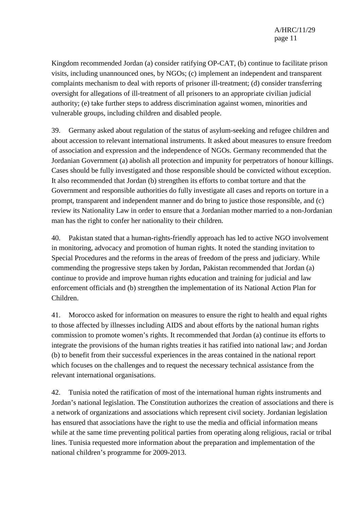Kingdom recommended Jordan (a) consider ratifying OP-CAT, (b) continue to facilitate prison visits, including unannounced ones, by NGOs; (c) implement an independent and transparent complaints mechanism to deal with reports of prisoner ill-treatment; (d) consider transferring oversight for allegations of ill-treatment of all prisoners to an appropriate civilian judicial authority; (e) take further steps to address discrimination against women, minorities and vulnerable groups, including children and disabled people.

39. Germany asked about regulation of the status of asylum-seeking and refugee children and about accession to relevant international instruments. It asked about measures to ensure freedom of association and expression and the independence of NGOs. Germany recommended that the Jordanian Government (a) abolish all protection and impunity for perpetrators of honour killings. Cases should be fully investigated and those responsible should be convicted without exception. It also recommended that Jordan (b) strengthen its efforts to combat torture and that the Government and responsible authorities do fully investigate all cases and reports on torture in a prompt, transparent and independent manner and do bring to justice those responsible, and (c) review its Nationality Law in order to ensure that a Jordanian mother married to a non-Jordanian man has the right to confer her nationality to their children.

40. Pakistan stated that a human-rights-friendly approach has led to active NGO involvement in monitoring, advocacy and promotion of human rights. It noted the standing invitation to Special Procedures and the reforms in the areas of freedom of the press and judiciary. While commending the progressive steps taken by Jordan, Pakistan recommended that Jordan (a) continue to provide and improve human rights education and training for judicial and law enforcement officials and (b) strengthen the implementation of its National Action Plan for Children.

41. Morocco asked for information on measures to ensure the right to health and equal rights to those affected by illnesses including AIDS and about efforts by the national human rights commission to promote women's rights. It recommended that Jordan (a) continue its efforts to integrate the provisions of the human rights treaties it has ratified into national law; and Jordan (b) to benefit from their successful experiences in the areas contained in the national report which focuses on the challenges and to request the necessary technical assistance from the relevant international organisations.

42. Tunisia noted the ratification of most of the international human rights instruments and Jordan's national legislation. The Constitution authorizes the creation of associations and there is a network of organizations and associations which represent civil society. Jordanian legislation has ensured that associations have the right to use the media and official information means while at the same time preventing political parties from operating along religious, racial or tribal lines. Tunisia requested more information about the preparation and implementation of the national children's programme for 2009-2013.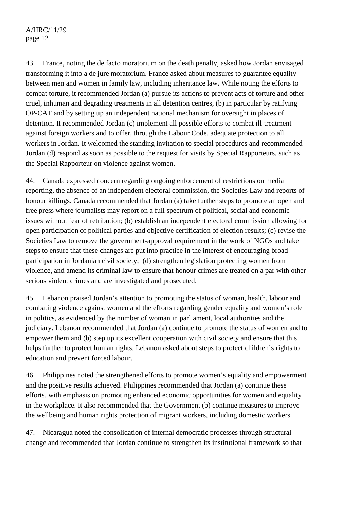## A/HRC/11/29 page 12

43. France, noting the de facto moratorium on the death penalty, asked how Jordan envisaged transforming it into a de jure moratorium. France asked about measures to guarantee equality between men and women in family law, including inheritance law. While noting the efforts to combat torture, it recommended Jordan (a) pursue its actions to prevent acts of torture and other cruel, inhuman and degrading treatments in all detention centres, (b) in particular by ratifying OP-CAT and by setting up an independent national mechanism for oversight in places of detention. It recommended Jordan (c) implement all possible efforts to combat ill-treatment against foreign workers and to offer, through the Labour Code, adequate protection to all workers in Jordan. It welcomed the standing invitation to special procedures and recommended Jordan (d) respond as soon as possible to the request for visits by Special Rapporteurs, such as the Special Rapporteur on violence against women.

44. Canada expressed concern regarding ongoing enforcement of restrictions on media reporting, the absence of an independent electoral commission, the Societies Law and reports of honour killings. Canada recommended that Jordan (a) take further steps to promote an open and free press where journalists may report on a full spectrum of political, social and economic issues without fear of retribution; (b) establish an independent electoral commission allowing for open participation of political parties and objective certification of election results; (c) revise the Societies Law to remove the government-approval requirement in the work of NGOs and take steps to ensure that these changes are put into practice in the interest of encouraging broad participation in Jordanian civil society; (d) strengthen legislation protecting women from violence, and amend its criminal law to ensure that honour crimes are treated on a par with other serious violent crimes and are investigated and prosecuted.

45. Lebanon praised Jordan's attention to promoting the status of woman, health, labour and combating violence against women and the efforts regarding gender equality and women's role in politics, as evidenced by the number of woman in parliament, local authorities and the judiciary. Lebanon recommended that Jordan (a) continue to promote the status of women and to empower them and (b) step up its excellent cooperation with civil society and ensure that this helps further to protect human rights. Lebanon asked about steps to protect children's rights to education and prevent forced labour.

46. Philippines noted the strengthened efforts to promote women's equality and empowerment and the positive results achieved. Philippines recommended that Jordan (a) continue these efforts, with emphasis on promoting enhanced economic opportunities for women and equality in the workplace. It also recommended that the Government (b) continue measures to improve the wellbeing and human rights protection of migrant workers, including domestic workers.

47. Nicaragua noted the consolidation of internal democratic processes through structural change and recommended that Jordan continue to strengthen its institutional framework so that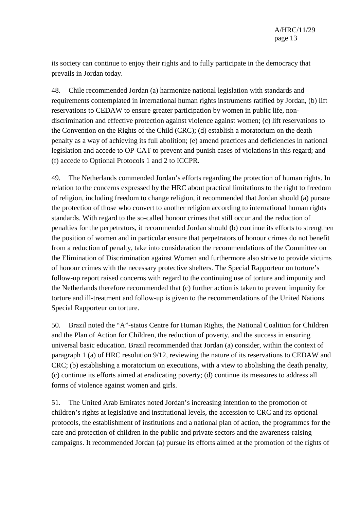its society can continue to enjoy their rights and to fully participate in the democracy that prevails in Jordan today.

48. Chile recommended Jordan (a) harmonize national legislation with standards and requirements contemplated in international human rights instruments ratified by Jordan, (b) lift reservations to CEDAW to ensure greater participation by women in public life, nondiscrimination and effective protection against violence against women; (c) lift reservations to the Convention on the Rights of the Child (CRC); (d) establish a moratorium on the death penalty as a way of achieving its full abolition; (e) amend practices and deficiencies in national legislation and accede to OP-CAT to prevent and punish cases of violations in this regard; and (f) accede to Optional Protocols 1 and 2 to ICCPR.

49. The Netherlands commended Jordan's efforts regarding the protection of human rights. In relation to the concerns expressed by the HRC about practical limitations to the right to freedom of religion, including freedom to change religion, it recommended that Jordan should (a) pursue the protection of those who convert to another religion according to international human rights standards. With regard to the so-called honour crimes that still occur and the reduction of penalties for the perpetrators, it recommended Jordan should (b) continue its efforts to strengthen the position of women and in particular ensure that perpetrators of honour crimes do not benefit from a reduction of penalty, take into consideration the recommendations of the Committee on the Elimination of Discrimination against Women and furthermore also strive to provide victims of honour crimes with the necessary protective shelters. The Special Rapporteur on torture's follow-up report raised concerns with regard to the continuing use of torture and impunity and the Netherlands therefore recommended that (c) further action is taken to prevent impunity for torture and ill-treatment and follow-up is given to the recommendations of the United Nations Special Rapporteur on torture.

50. Brazil noted the "A"-status Centre for Human Rights, the National Coalition for Children and the Plan of Action for Children, the reduction of poverty, and the success in ensuring universal basic education. Brazil recommended that Jordan (a) consider, within the context of paragraph 1 (a) of HRC resolution 9/12, reviewing the nature of its reservations to CEDAW and CRC; (b) establishing a moratorium on executions, with a view to abolishing the death penalty, (c) continue its efforts aimed at eradicating poverty; (d) continue its measures to address all forms of violence against women and girls.

51. The United Arab Emirates noted Jordan's increasing intention to the promotion of children's rights at legislative and institutional levels, the accession to CRC and its optional protocols, the establishment of institutions and a national plan of action, the programmes for the care and protection of children in the public and private sectors and the awareness-raising campaigns. It recommended Jordan (a) pursue its efforts aimed at the promotion of the rights of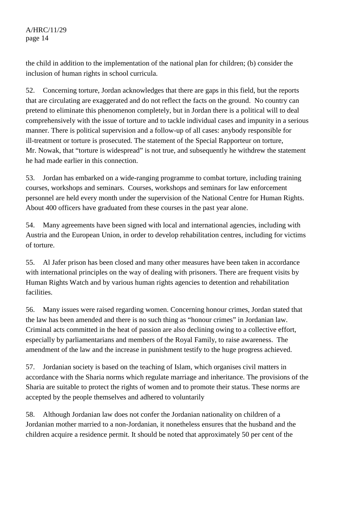the child in addition to the implementation of the national plan for children; (b) consider the inclusion of human rights in school curricula.

52. Concerning torture, Jordan acknowledges that there are gaps in this field, but the reports that are circulating are exaggerated and do not reflect the facts on the ground. No country can pretend to eliminate this phenomenon completely, but in Jordan there is a political will to deal comprehensively with the issue of torture and to tackle individual cases and impunity in a serious manner. There is political supervision and a follow-up of all cases: anybody responsible for ill-treatment or torture is prosecuted. The statement of the Special Rapporteur on torture, Mr. Nowak, that "torture is widespread" is not true, and subsequently he withdrew the statement he had made earlier in this connection.

53. Jordan has embarked on a wide-ranging programme to combat torture, including training courses, workshops and seminars. Courses, workshops and seminars for law enforcement personnel are held every month under the supervision of the National Centre for Human Rights. About 400 officers have graduated from these courses in the past year alone.

54. Many agreements have been signed with local and international agencies, including with Austria and the European Union, in order to develop rehabilitation centres, including for victims of torture.

55. Al Jafer prison has been closed and many other measures have been taken in accordance with international principles on the way of dealing with prisoners. There are frequent visits by Human Rights Watch and by various human rights agencies to detention and rehabilitation facilities.

56. Many issues were raised regarding women. Concerning honour crimes, Jordan stated that the law has been amended and there is no such thing as "honour crimes" in Jordanian law. Criminal acts committed in the heat of passion are also declining owing to a collective effort, especially by parliamentarians and members of the Royal Family, to raise awareness. The amendment of the law and the increase in punishment testify to the huge progress achieved.

57. Jordanian society is based on the teaching of Islam, which organises civil matters in accordance with the Sharia norms which regulate marriage and inheritance. The provisions of the Sharia are suitable to protect the rights of women and to promote their status. These norms are accepted by the people themselves and adhered to voluntarily

58. Although Jordanian law does not confer the Jordanian nationality on children of a Jordanian mother married to a non-Jordanian, it nonetheless ensures that the husband and the children acquire a residence permit. It should be noted that approximately 50 per cent of the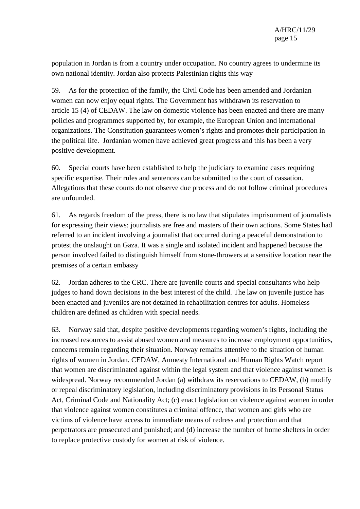population in Jordan is from a country under occupation. No country agrees to undermine its own national identity. Jordan also protects Palestinian rights this way

59. As for the protection of the family, the Civil Code has been amended and Jordanian women can now enjoy equal rights. The Government has withdrawn its reservation to article 15 (4) of CEDAW. The law on domestic violence has been enacted and there are many policies and programmes supported by, for example, the European Union and international organizations. The Constitution guarantees women's rights and promotes their participation in the political life. Jordanian women have achieved great progress and this has been a very positive development.

60. Special courts have been established to help the judiciary to examine cases requiring specific expertise. Their rules and sentences can be submitted to the court of cassation. Allegations that these courts do not observe due process and do not follow criminal procedures are unfounded.

61. As regards freedom of the press, there is no law that stipulates imprisonment of journalists for expressing their views: journalists are free and masters of their own actions. Some States had referred to an incident involving a journalist that occurred during a peaceful demonstration to protest the onslaught on Gaza. It was a single and isolated incident and happened because the person involved failed to distinguish himself from stone-throwers at a sensitive location near the premises of a certain embassy

62. Jordan adheres to the CRC. There are juvenile courts and special consultants who help judges to hand down decisions in the best interest of the child. The law on juvenile justice has been enacted and juveniles are not detained in rehabilitation centres for adults. Homeless children are defined as children with special needs.

63. Norway said that, despite positive developments regarding women's rights, including the increased resources to assist abused women and measures to increase employment opportunities, concerns remain regarding their situation. Norway remains attentive to the situation of human rights of women in Jordan. CEDAW, Amnesty International and Human Rights Watch report that women are discriminated against within the legal system and that violence against women is widespread. Norway recommended Jordan (a) withdraw its reservations to CEDAW, (b) modify or repeal discriminatory legislation, including discriminatory provisions in its Personal Status Act, Criminal Code and Nationality Act; (c) enact legislation on violence against women in order that violence against women constitutes a criminal offence, that women and girls who are victims of violence have access to immediate means of redress and protection and that perpetrators are prosecuted and punished; and (d) increase the number of home shelters in order to replace protective custody for women at risk of violence.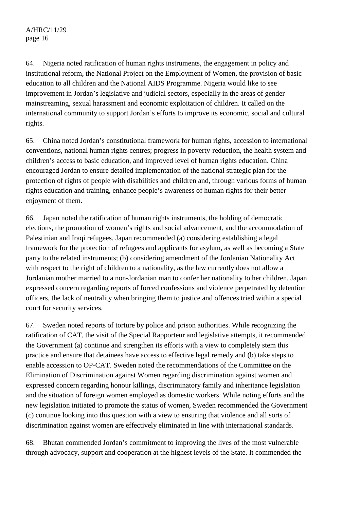64. Nigeria noted ratification of human rights instruments, the engagement in policy and institutional reform, the National Project on the Employment of Women, the provision of basic education to all children and the National AIDS Programme. Nigeria would like to see improvement in Jordan's legislative and judicial sectors, especially in the areas of gender mainstreaming, sexual harassment and economic exploitation of children. It called on the international community to support Jordan's efforts to improve its economic, social and cultural rights.

65. China noted Jordan's constitutional framework for human rights, accession to international conventions, national human rights centres; progress in poverty-reduction, the health system and children's access to basic education, and improved level of human rights education. China encouraged Jordan to ensure detailed implementation of the national strategic plan for the protection of rights of people with disabilities and children and, through various forms of human rights education and training, enhance people's awareness of human rights for their better enjoyment of them.

66. Japan noted the ratification of human rights instruments, the holding of democratic elections, the promotion of women's rights and social advancement, and the accommodation of Palestinian and Iraqi refugees. Japan recommended (a) considering establishing a legal framework for the protection of refugees and applicants for asylum, as well as becoming a State party to the related instruments; (b) considering amendment of the Jordanian Nationality Act with respect to the right of children to a nationality, as the law currently does not allow a Jordanian mother married to a non-Jordanian man to confer her nationality to her children. Japan expressed concern regarding reports of forced confessions and violence perpetrated by detention officers, the lack of neutrality when bringing them to justice and offences tried within a special court for security services.

67. Sweden noted reports of torture by police and prison authorities. While recognizing the ratification of CAT, the visit of the Special Rapporteur and legislative attempts, it recommended the Government (a) continue and strengthen its efforts with a view to completely stem this practice and ensure that detainees have access to effective legal remedy and (b) take steps to enable accession to OP-CAT. Sweden noted the recommendations of the Committee on the Elimination of Discrimination against Women regarding discrimination against women and expressed concern regarding honour killings, discriminatory family and inheritance legislation and the situation of foreign women employed as domestic workers. While noting efforts and the new legislation initiated to promote the status of women, Sweden recommended the Government (c) continue looking into this question with a view to ensuring that violence and all sorts of discrimination against women are effectively eliminated in line with international standards.

68. Bhutan commended Jordan's commitment to improving the lives of the most vulnerable through advocacy, support and cooperation at the highest levels of the State. It commended the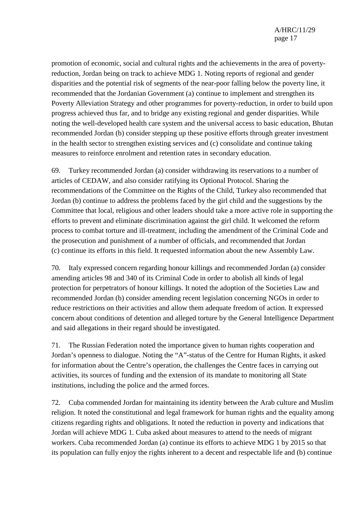promotion of economic, social and cultural rights and the achievements in the area of povertyreduction, Jordan being on track to achieve MDG 1. Noting reports of regional and gender disparities and the potential risk of segments of the near-poor falling below the poverty line, it recommended that the Jordanian Government (a) continue to implement and strengthen its Poverty Alleviation Strategy and other programmes for poverty-reduction, in order to build upon progress achieved thus far, and to bridge any existing regional and gender disparities. While noting the well-developed health care system and the universal access to basic education, Bhutan recommended Jordan (b) consider stepping up these positive efforts through greater investment in the health sector to strengthen existing services and (c) consolidate and continue taking measures to reinforce enrolment and retention rates in secondary education.

69. Turkey recommended Jordan (a) consider withdrawing its reservations to a number of articles of CEDAW, and also consider ratifying its Optional Protocol. Sharing the recommendations of the Committee on the Rights of the Child, Turkey also recommended that Jordan (b) continue to address the problems faced by the girl child and the suggestions by the Committee that local, religious and other leaders should take a more active role in supporting the efforts to prevent and eliminate discrimination against the girl child. It welcomed the reform process to combat torture and ill-treatment, including the amendment of the Criminal Code and the prosecution and punishment of a number of officials, and recommended that Jordan (c) continue its efforts in this field. It requested information about the new Assembly Law.

70. Italy expressed concern regarding honour killings and recommended Jordan (a) consider amending articles 98 and 340 of its Criminal Code in order to abolish all kinds of legal protection for perpetrators of honour killings. It noted the adoption of the Societies Law and recommended Jordan (b) consider amending recent legislation concerning NGOs in order to reduce restrictions on their activities and allow them adequate freedom of action. It expressed concern about conditions of detention and alleged torture by the General Intelligence Department and said allegations in their regard should be investigated.

71. The Russian Federation noted the importance given to human rights cooperation and Jordan's openness to dialogue. Noting the "A"-status of the Centre for Human Rights, it asked for information about the Centre's operation, the challenges the Centre faces in carrying out activities, its sources of funding and the extension of its mandate to monitoring all State institutions, including the police and the armed forces.

72. Cuba commended Jordan for maintaining its identity between the Arab culture and Muslim religion. It noted the constitutional and legal framework for human rights and the equality among citizens regarding rights and obligations. It noted the reduction in poverty and indications that Jordan will achieve MDG 1. Cuba asked about measures to attend to the needs of migrant workers. Cuba recommended Jordan (a) continue its efforts to achieve MDG 1 by 2015 so that its population can fully enjoy the rights inherent to a decent and respectable life and (b) continue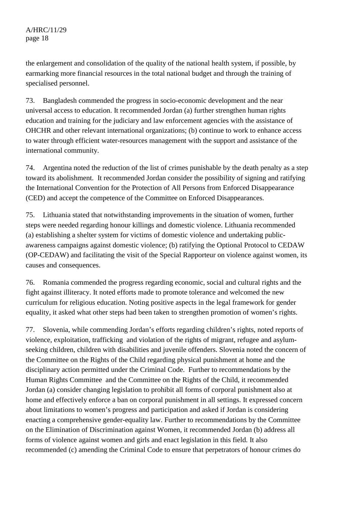the enlargement and consolidation of the quality of the national health system, if possible, by earmarking more financial resources in the total national budget and through the training of specialised personnel.

73. Bangladesh commended the progress in socio-economic development and the near universal access to education. It recommended Jordan (a) further strengthen human rights education and training for the judiciary and law enforcement agencies with the assistance of OHCHR and other relevant international organizations; (b) continue to work to enhance access to water through efficient water-resources management with the support and assistance of the international community.

74. Argentina noted the reduction of the list of crimes punishable by the death penalty as a step toward its abolishment. It recommended Jordan consider the possibility of signing and ratifying the International Convention for the Protection of All Persons from Enforced Disappearance (CED) and accept the competence of the Committee on Enforced Disappearances.

75. Lithuania stated that notwithstanding improvements in the situation of women, further steps were needed regarding honour killings and domestic violence. Lithuania recommended (a) establishing a shelter system for victims of domestic violence and undertaking publicawareness campaigns against domestic violence; (b) ratifying the Optional Protocol to CEDAW (OP-CEDAW) and facilitating the visit of the Special Rapporteur on violence against women, its causes and consequences.

76. Romania commended the progress regarding economic, social and cultural rights and the fight against illiteracy. It noted efforts made to promote tolerance and welcomed the new curriculum for religious education. Noting positive aspects in the legal framework for gender equality, it asked what other steps had been taken to strengthen promotion of women's rights.

77. Slovenia, while commending Jordan's efforts regarding children's rights, noted reports of violence, exploitation, trafficking and violation of the rights of migrant, refugee and asylumseeking children, children with disabilities and juvenile offenders. Slovenia noted the concern of the Committee on the Rights of the Child regarding physical punishment at home and the disciplinary action permitted under the Criminal Code. Further to recommendations by the Human Rights Committee and the Committee on the Rights of the Child, it recommended Jordan (a) consider changing legislation to prohibit all forms of corporal punishment also at home and effectively enforce a ban on corporal punishment in all settings. It expressed concern about limitations to women's progress and participation and asked if Jordan is considering enacting a comprehensive gender-equality law. Further to recommendations by the Committee on the Elimination of Discrimination against Women, it recommended Jordan (b) address all forms of violence against women and girls and enact legislation in this field. It also recommended (c) amending the Criminal Code to ensure that perpetrators of honour crimes do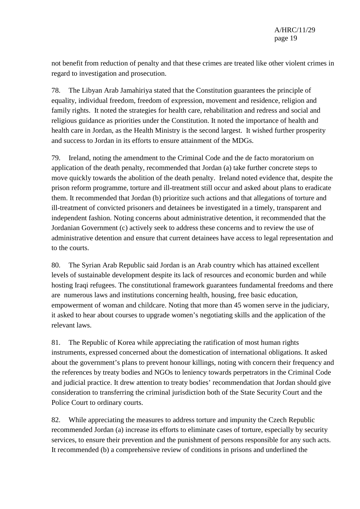not benefit from reduction of penalty and that these crimes are treated like other violent crimes in regard to investigation and prosecution.

78. The Libyan Arab Jamahiriya stated that the Constitution guarantees the principle of equality, individual freedom, freedom of expression, movement and residence, religion and family rights. It noted the strategies for health care, rehabilitation and redress and social and religious guidance as priorities under the Constitution. It noted the importance of health and health care in Jordan, as the Health Ministry is the second largest. It wished further prosperity and success to Jordan in its efforts to ensure attainment of the MDGs.

79. Ireland, noting the amendment to the Criminal Code and the de facto moratorium on application of the death penalty, recommended that Jordan (a) take further concrete steps to move quickly towards the abolition of the death penalty. Ireland noted evidence that, despite the prison reform programme, torture and ill-treatment still occur and asked about plans to eradicate them. It recommended that Jordan (b) prioritize such actions and that allegations of torture and ill-treatment of convicted prisoners and detainees be investigated in a timely, transparent and independent fashion. Noting concerns about administrative detention, it recommended that the Jordanian Government (c) actively seek to address these concerns and to review the use of administrative detention and ensure that current detainees have access to legal representation and to the courts.

80. The Syrian Arab Republic said Jordan is an Arab country which has attained excellent levels of sustainable development despite its lack of resources and economic burden and while hosting Iraqi refugees. The constitutional framework guarantees fundamental freedoms and there are numerous laws and institutions concerning health, housing, free basic education, empowerment of woman and childcare. Noting that more than 45 women serve in the judiciary, it asked to hear about courses to upgrade women's negotiating skills and the application of the relevant laws.

81. The Republic of Korea while appreciating the ratification of most human rights instruments, expressed concerned about the domestication of international obligations. It asked about the government's plans to prevent honour killings, noting with concern their frequency and the references by treaty bodies and NGOs to leniency towards perpetrators in the Criminal Code and judicial practice. It drew attention to treaty bodies' recommendation that Jordan should give consideration to transferring the criminal jurisdiction both of the State Security Court and the Police Court to ordinary courts.

82. While appreciating the measures to address torture and impunity the Czech Republic recommended Jordan (a) increase its efforts to eliminate cases of torture, especially by security services, to ensure their prevention and the punishment of persons responsible for any such acts. It recommended (b) a comprehensive review of conditions in prisons and underlined the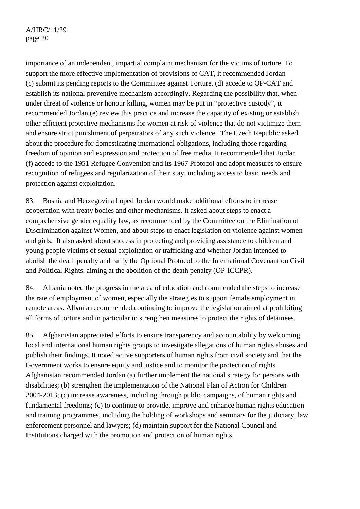importance of an independent, impartial complaint mechanism for the victims of torture. To support the more effective implementation of provisions of CAT, it recommended Jordan (c) submit its pending reports to the Commiittee against Torture, (d) accede to OP-CAT and establish its national preventive mechanism accordingly. Regarding the possibility that, when under threat of violence or honour killing, women may be put in "protective custody", it recommended Jordan (e) review this practice and increase the capacity of existing or establish other efficient protective mechanisms for women at risk of violence that do not victimize them and ensure strict punishment of perpetrators of any such violence. The Czech Republic asked about the procedure for domesticating international obligations, including those regarding freedom of opinion and expression and protection of free media. It recommended that Jordan (f) accede to the 1951 Refugee Convention and its 1967 Protocol and adopt measures to ensure recognition of refugees and regularization of their stay, including access to basic needs and protection against exploitation.

83. Bosnia and Herzegovina hoped Jordan would make additional efforts to increase cooperation with treaty bodies and other mechanisms. It asked about steps to enact a comprehensive gender equality law, as recommended by the Committee on the Elimination of Discrimination against Women, and about steps to enact legislation on violence against women and girls. It also asked about success in protecting and providing assistance to children and young people victims of sexual exploitation or trafficking and whether Jordan intended to abolish the death penalty and ratify the Optional Protocol to the International Covenant on Civil and Political Rights, aiming at the abolition of the death penalty (OP-ICCPR).

84. Albania noted the progress in the area of education and commended the steps to increase the rate of employment of women, especially the strategies to support female employment in remote areas. Albania recommended continuing to improve the legislation aimed at prohibiting all forms of torture and in particular to strengthen measures to protect the rights of detainees.

85. Afghanistan appreciated efforts to ensure transparency and accountability by welcoming local and international human rights groups to investigate allegations of human rights abuses and publish their findings. It noted active supporters of human rights from civil society and that the Government works to ensure equity and justice and to monitor the protection of rights. Afghanistan recommended Jordan (a) further implement the national strategy for persons with disabilities; (b) strengthen the implementation of the National Plan of Action for Children 2004-2013; (c) increase awareness, including through public campaigns, of human rights and fundamental freedoms; (c) to continue to provide, improve and enhance human rights education and training programmes, including the holding of workshops and seminars for the judiciary, law enforcement personnel and lawyers; (d) maintain support for the National Council and Institutions charged with the promotion and protection of human rights.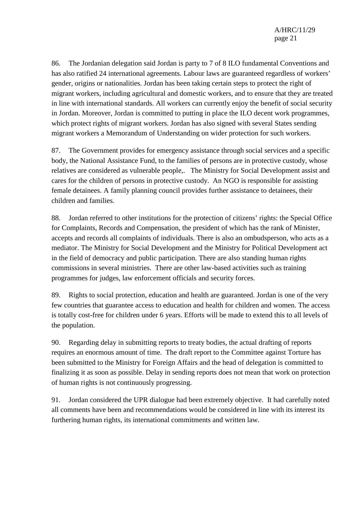86. The Jordanian delegation said Jordan is party to 7 of 8 ILO fundamental Conventions and has also ratified 24 international agreements. Labour laws are guaranteed regardless of workers' gender, origins or nationalities. Jordan has been taking certain steps to protect the right of migrant workers, including agricultural and domestic workers, and to ensure that they are treated in line with international standards. All workers can currently enjoy the benefit of social security in Jordan. Moreover, Jordan is committed to putting in place the ILO decent work programmes, which protect rights of migrant workers. Jordan has also signed with several States sending migrant workers a Memorandum of Understanding on wider protection for such workers.

87. The Government provides for emergency assistance through social services and a specific body, the National Assistance Fund, to the families of persons are in protective custody, whose relatives are considered as vulnerable people,. The Ministry for Social Development assist and cares for the children of persons in protective custody. An NGO is responsible for assisting female detainees. A family planning council provides further assistance to detainees, their children and families.

88. Jordan referred to other institutions for the protection of citizens' rights: the Special Office for Complaints, Records and Compensation, the president of which has the rank of Minister, accepts and records all complaints of individuals. There is also an ombudsperson, who acts as a mediator. The Ministry for Social Development and the Ministry for Political Development act in the field of democracy and public participation. There are also standing human rights commissions in several ministries. There are other law-based activities such as training programmes for judges, law enforcement officials and security forces.

89. Rights to social protection, education and health are guaranteed. Jordan is one of the very few countries that guarantee access to education and health for children and women. The access is totally cost-free for children under 6 years. Efforts will be made to extend this to all levels of the population.

90. Regarding delay in submitting reports to treaty bodies, the actual drafting of reports requires an enormous amount of time. The draft report to the Committee against Torture has been submitted to the Ministry for Foreign Affairs and the head of delegation is committed to finalizing it as soon as possible. Delay in sending reports does not mean that work on protection of human rights is not continuously progressing.

91. Jordan considered the UPR dialogue had been extremely objective. It had carefully noted all comments have been and recommendations would be considered in line with its interest its furthering human rights, its international commitments and written law.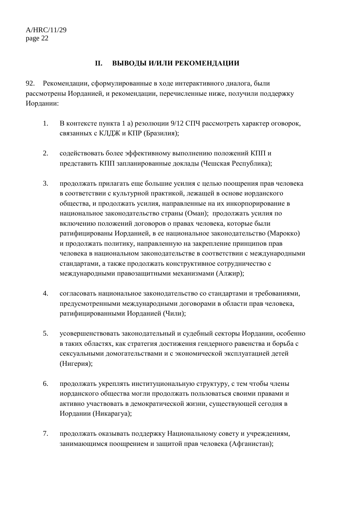#### **II. ВЫВОДЫ И/ИЛИ РЕКОМЕНДАЦИИ**

92. Рекомендации, сформулированные в ходе интерактивного диалога, были рассмотрены Иорданией, и рекомендации, перечисленные ниже, получили поддержку Иордании:

- 1. В контексте пункта 1 а) резолюции 9/12 СПЧ рассмотреть характер оговорок, связанных с КЛДЖ и КПР (Бразилия);
- 2. содействовать более эффективному выполнению положений КПП и представить КПП запланированные доклады (Чешская Республика);
- 3. продолжать прилагать еще большие усилия с целью поощрения прав человека в соответствии с культурной практикой, лежащей в основе иорданского общества, и продолжать усилия, направленные на их инкорпорирование в национальное законодательство страны (Оман); продолжать усилия по включению положений договоров о правах человека, которые были ратифицированы Иорданией, в ее национальное законодательство (Марокко) и продолжать политику, направленную на закрепление принципов прав человека в национальном законодательстве в соответствии с международными стандартами, а также продолжать конструктивное сотрудничество с международными правозащитными механизмами (Алжир);
- 4. согласовать национальное законодательство со стандартами и требованиями, предусмотренными международными договорами в области прав человека, ратифицированными Иорданией (Чили);
- 5. усовершенствовать законодательный и судебный секторы Иордании, особенно в таких областях, как стратегия достижения гендерного равенства и борьба с сексуальными домогательствами и с экономической эксплуатацией детей (Нигерия);
- 6. продолжать укреплять институциональную структуру, с тем чтобы члены иорданского общества могли продолжать пользоваться своими правами и активно участвовать в демократической жизни, существующей сегодня в Иордании (Никарагуа);
- 7. продолжать оказывать поддержку Национальному совету и учреждениям, занимающимся поощрением и защитой прав человека (Афганистан);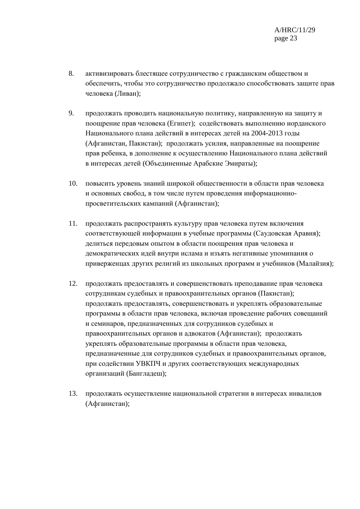- 8. активизировать блестящее сотрудничество с гражданским обществом и обеспечить, чтобы это сотрудничество продолжало способствовать защите прав человека (Ливан);
- 9. продолжать проводить национальную политику, направленную на защиту и поощрение прав человека (Египет); содействовать выполнению иорданского Национального плана действий в интересах детей на 2004-2013 годы (Афганистан, Пакистан); продолжать усилия, направленные на поощрение прав ребенка, в дополнение к осуществлению Национального плана действий в интересах детей (Объединенные Арабские Эмираты);
- 10. повысить уровень знаний широкой общественности в области прав человека и основных свобод, в том числе путем проведения информационнопросветительских кампаний (Афганистан);
- 11. продолжать распространять культуру прав человека путем включения соответствующей информации в учебные программы (Саудовская Аравия); делиться передовым опытом в области поощрения прав человека и демократических идей внутри ислама и изъять негативные упоминания о приверженцах других религий из школьных программ и учебников (Малайзия);
- 12. продолжать предоставлять и совершенствовать преподавание прав человека сотрудникам судебных и правоохранительных органов (Пакистан); продолжать предоставлять, совершенствовать и укреплять образовательные программы в области прав человека, включая проведение рабочих совещаний и семинаров, предназначенных для сотрудников судебных и правоохранительных органов и адвокатов (Афганистан); продолжать укреплять образовательные программы в области прав человека, предназначенные для сотрудников судебных и правоохранительных органов, при содействии УВКПЧ и других соответствующих международных организаций (Бангладеш);
- 13. продолжать осуществление национальной стратегии в интересах инвалидов (Афганистан);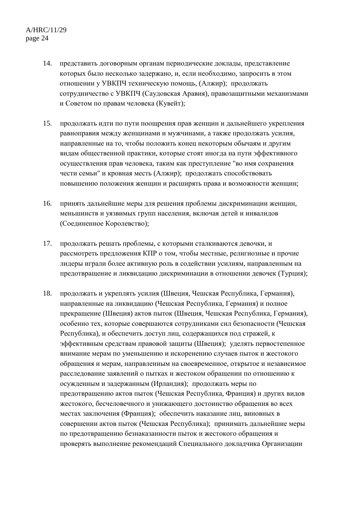- 14. представить договорным органам периодические доклады, представление которых было несколько задержано, и, если необходимо, запросить в этом отношении у УВКПЧ техническую помощь, (Алжир); продолжать сотрудничество с УВКПЧ (Саудовская Аравия), правозащитными механизмами и Советом по правам человека (Кувейт);
- 15. продолжать идти по пути поощрения прав женщин и дальнейшего укрепления равноправия между женщинами и мужчинами, а также продолжать усилия, направленные на то, чтобы положить конец некоторым обычаям и другим видам общественной практики, которые стоят иногда на пути эффективного осуществления прав человека, таким как преступление "во имя сохранения чести семьи" и кровная месть (Алжир); продолжать способствовать повышению положения женщин и расширять права и возможности женщин;
- 16. принять дальнейшие меры для решения проблемы дискриминации женщин, меньшинств и уязвимых групп населения, включая детей и инвалидов (Соединенное Королевство);
- 17. продолжать решать проблемы, с которыми сталкиваются девочки, и рассмотреть предложения КПР о том, чтобы местные, религиозные и прочие лидеры играли более активную роль в содействии усилиям, направленным на предотвращение и ликвидацию дискриминации в отношении девочек (Турция);
- 18. продолжать и укреплять усилия (Швеция, Чешская Республика, Германия), направленные на ликвидацию (Чешская Республика, Германия) и полное прекращение (Швеция) актов пыток (Швеция, Чешская Республика, Германия), особенно тех, которые совершаются сотрудниками сил безопасности (Чешская Республика), и обеспечить доступ лиц, содержащихся под стражей, к эффективным средствам правовой защиты (Швеция); уделять первостепенное внимание мерам по уменьшению и искоренению случаев пыток и жестокого обращения и мерам, направленным на своевременное, открытое и независимое расследование заявлений о пытках и жестоком обращении по отношению к осужденным и задержанным (Ирландия); продолжать меры по предотвращению актов пыток (Чешская Республика, Франция) и других видов жестокого, бесчеловечного и унижающего достоинство обращения во всех местах заключения (Франция); обеспечить наказание лиц, виновных в совершении актов пыток (Чешская Республика); принимать дальнейшие меры по предотвращению безнаказанности пыток и жестокого обращения и проверять выполнение рекомендаций Специального докладчика Организации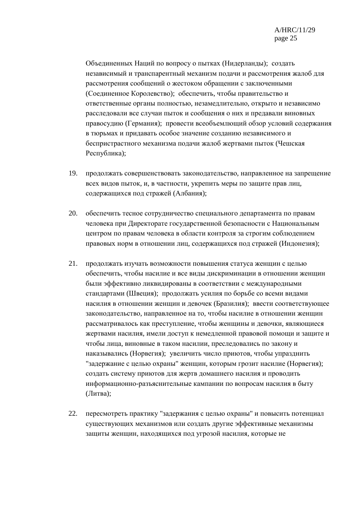Объединенных Наций по вопросу о пытках (Нидерланды); создать независимый и транспарентный механизм подачи и рассмотрения жалоб для рассмотрения сообщений о жестоком обращении с заключенными (Соединенное Королевство); обеспечить, чтобы правительство и ответственные органы полностью, незамедлительно, открыто и независимо расследовали все случаи пыток и сообщения о них и предавали виновных правосудию (Германия); провести всеобъемлющий обзор условий содержания в тюрьмах и придавать особое значение созданию независимого и беспристрастного механизма подачи жалоб жертвами пыток (Чешская Республика);

- 19. продолжать совершенствовать законодательство, направленное на запрещение всех видов пыток, и, в частности, укрепить меры по защите прав лиц, содержащихся под стражей (Албания);
- 20. обеспечить тесное сотрудничество специального департамента по правам человека при Директорате государственной безопасности с Национальным центром по правам человека в области контроля за строгим соблюдением правовых норм в отношении лиц, содержащихся под стражей (Индонезия);
- 21. продолжать изучать возможности повышения статуса женщин с целью обеспечить, чтобы насилие и все виды дискриминации в отношении женщин были эффективно ликвидированы в соответствии с международными стандартами (Швеция); продолжать усилия по борьбе со всеми видами насилия в отношении женщин и девочек (Бразилия); ввести соответствующее законодательство, направленное на то, чтобы насилие в отношении женщин рассматривалось как преступление, чтобы женщины и девочки, являющиеся жертвами насилия, имели доступ к немедленной правовой помощи и защите и чтобы лица, виновные в таком насилии, преследовались по закону и наказывались (Норвегия); увеличить число приютов, чтобы упразднить "задержание с целью охраны" женщин, которым грозит насилие (Норвегия); создать систему приютов для жертв домашнего насилия и проводить информационно-разъяснительные кампании по вопросам насилия в быту (Литва);
- 22. пересмотреть практику "задержания с целью охраны" и повысить потенциал существующих механизмов или создать другие эффективные механизмы защиты женщин, находящихся под угрозой насилия, которые не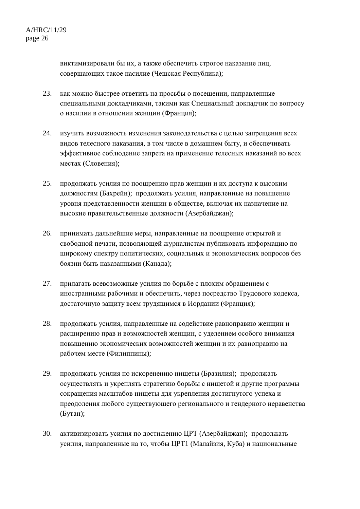виктимизировали бы их, а также обеспечить строгое наказание лиц, совершающих такое насилие (Чешская Республика);

- 23. как можно быстрее ответить на просьбы о посещении, направленные специальными докладчиками, такими как Специальный докладчик по вопросу о насилии в отношении женщин (Франция);
- 24. изучить возможность изменения законодательства с целью запрещения всех видов телесного наказания, в том числе в домашнем быту, и обеспечивать эффективное соблюдение запрета на применение телесных наказаний во всех местах (Словения);
- 25. продолжать усилия по поощрению прав женщин и их доступа к высоким должностям (Бахрейн); продолжать усилия, направленные на повышение уровня представленности женщин в обществе, включая их назначение на высокие правительственные должности (Азербайджан);
- 26. принимать дальнейшие меры, направленные на поощрение открытой и свободной печати, позволяющей журналистам публиковать информацию по широкому спектру политических, социальных и экономических вопросов без боязни быть наказанными (Канада);
- 27. прилагать всевозможные усилия по борьбе с плохим обращением с иностранными рабочими и обеспечить, через посредство Трудового кодекса, достаточную защиту всем трудящимся в Иордании (Франция);
- 28. продолжать усилия, направленные на содействие равноправию женщин и расширению прав и возможностей женщин, с уделением особого внимания повышению экономических возможностей женщин и их равноправию на рабочем месте (Филиппины);
- 29. продолжать усилия по искоренению нищеты (Бразилия); продолжать осуществлять и укреплять стратегию борьбы с нищетой и другие программы сокращения масштабов нищеты для укрепления достигнутого успеха и преодоления любого существующего регионального и гендерного неравенства (Бутан);
- 30. активизировать усилия по достижению ЦРТ (Азербайджан); продолжать усилия, направленные на то, чтобы ЦРТ1 (Малайзия, Куба) и национальные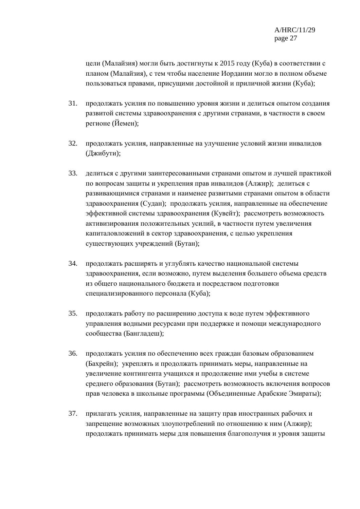цели (Малайзия) могли быть достигнуты к 2015 году (Куба) в соответствии с планом (Малайзия), с тем чтобы население Иордании могло в полном объеме пользоваться правами, присущими достойной и приличной жизни (Куба);

- 31. продолжать усилия по повышению уровня жизни и делиться опытом создания развитой системы здравоохранения с другими странами, в частности в своем регионе (Йемен);
- 32. продолжать усилия, направленные на улучшение условий жизни инвалидов (Джибути);
- 33. делиться с другими заинтересованными странами опытом и лучшей практикой по вопросам защиты и укрепления прав инвалидов (Алжир); делиться с развивающимися странами и наименее развитыми странами опытом в области здравоохранения (Судан); продолжать усилия, направленные на обеспечение эффективной системы здравоохранения (Кувейт); рассмотреть возможность активизирования положительных усилий, в частности путем увеличения капиталовложений в сектор здравоохранения, с целью укрепления существующих учреждений (Бутан);
- 34. продолжать расширять и углублять качество национальной системы здравоохранения, если возможно, путем выделения большего объема средств из общего национального бюджета и посредством подготовки специализированного персонала (Куба);
- 35. продолжать работу по расширению доступа к воде путем эффективного управления водными ресурсами при поддержке и помощи международного сообщества (Бангладеш);
- 36. продолжать усилия по обеспечению всех граждан базовым образованием (Бахрейн); укреплять и продолжать принимать меры, направленные на увеличение контингента учащихся и продолжение ими учебы в системе среднего образования (Бутан); рассмотреть возможность включения вопросов прав человека в школьные программы (Объединенные Арабские Эмираты);
- 37. прилагать усилия, направленные на защиту прав иностранных рабочих и запрещение возможных злоупотреблений по отношению к ним (Алжир); продолжать принимать меры для повышения благополучия и уровня защиты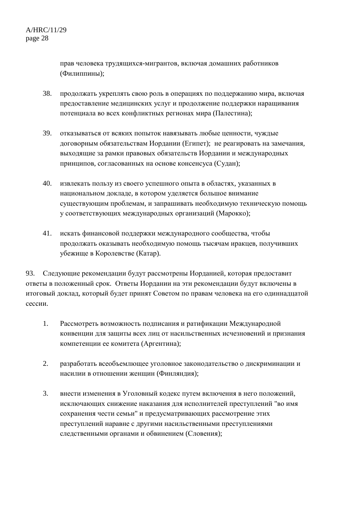прав человека трудящихся-мигрантов, включая домашних работников (Филиппины);

- 38. продолжать укреплять свою роль в операциях по поддержанию мира, включая предоставление медицинских услуг и продолжение поддержки наращивания потенциала во всех конфликтных регионах мира (Палестина);
- 39. отказываться от всяких попыток навязывать любые ценности, чуждые договорным обязательствам Иордании (Египет); не реагировать на замечания, выходящие за рамки правовых обязательств Иордании и международных принципов, согласованных на основе консенсуса (Судан);
- 40. извлекать пользу из своего успешного опыта в областях, указанных в национальном докладе, в котором уделяется большое внимание существующим проблемам, и запрашивать необходимую техническую помощь у соответствующих международных организаций (Марокко);
- 41. искать финансовой поддержки международного сообщества, чтобы продолжать оказывать необходимую помощь тысячам иракцев, получивших убежище в Королевстве (Катар).

93. Следующие рекомендации будут рассмотрены Иорданией, которая предоставит ответы в положенный срок. Ответы Иордании на эти рекомендации будут включены в итоговый доклад, который будет принят Советом по правам человека на его одиннадцатой сессии.

- 1. Рассмотреть возможность подписания и ратификации Международной конвенции для защиты всех лиц от насильственных исчезновений и признания компетенции ее комитета (Аргентина);
- 2. разработать всеобъемлющее уголовное законодательство о дискриминации и насилии в отношении женщин (Финляндия);
- 3. внести изменения в Уголовный кодекс путем включения в него положений, исключающих снижение наказания для исполнителей преступлений "во имя сохранения чести семьи" и предусматривающих рассмотрение этих преступлений наравне с другими насильственными преступлениями следственными органами и обвинением (Словения);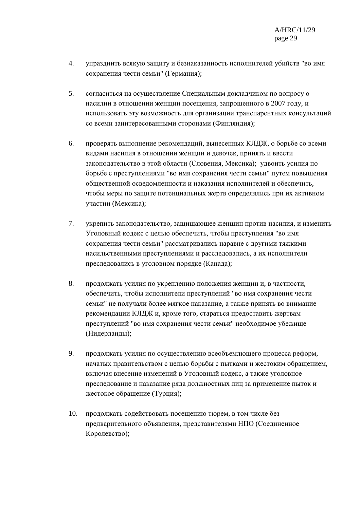- 4. упразднить всякую защиту и безнаказанность исполнителей убийств "во имя сохранения чести семьи" (Германия);
- 5. согласиться на осуществление Специальным докладчиком по вопросу о насилии в отношении женщин посещения, запрошенного в 2007 году, и использовать эту возможность для организации транспарентных консультаций со всеми заинтересованными сторонами (Финляндия);
- 6. проверять выполнение рекомендаций, вынесенных КЛДЖ, о борьбе со всеми видами насилия в отношении женщин и девочек, принять и ввести законодательство в этой области (Словения, Мексика); удвоить усилия по борьбе с преступлениями "во имя сохранения чести семьи" путем повышения общественной осведомленности и наказания исполнителей и обеспечить, чтобы меры по защите потенциальных жертв определялись при их активном участии (Мексика);
- 7. укрепить законодательство, защищающее женщин против насилия, и изменить Уголовный кодекс с целью обеспечить, чтобы преступления "во имя сохранения чести семьи" рассматривались наравне с другими тяжкими насильственными преступлениями и расследовались, а их исполнители преследовались в уголовном порядке (Канада);
- 8. продолжать усилия по укреплению положения женщин и, в частности, обеспечить, чтобы исполнители преступлений "во имя сохранения чести семьи" не получали более мягкое наказание, а также принять во внимание рекомендации КЛДЖ и, кроме того, стараться предоставить жертвам преступлений "во имя сохранения чести семьи" необходимое убежище (Нидерланды);
- 9. продолжать усилия по осуществлению всеобъемлющего процесса реформ, начатых правительством с целью борьбы с пытками и жестоким обращением, включая внесение изменений в Уголовный кодекс, а также уголовное преследование и наказание ряда должностных лиц за применение пыток и жестокое обращение (Турция);
- 10. продолжать содействовать посещению тюрем, в том числе без предварительного объявления, представителями НПО (Соединенное Королевство);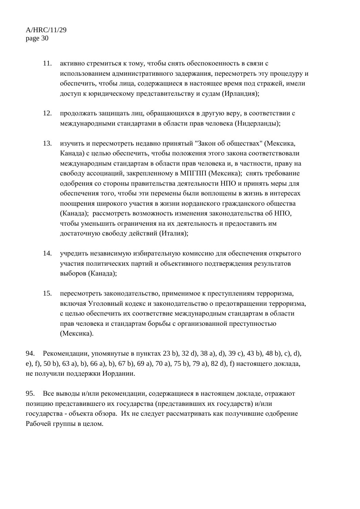- 11. активно стремиться к тому, чтобы снять обеспокоенность в связи с использованием административного задержания, пересмотреть эту процедуру и обеспечить, чтобы лица, содержащиеся в настоящее время под стражей, имели доступ к юридическому представительству и судам (Ирландия);
- 12. продолжать защищать лиц, обращающихся в другую веру, в соответствии с международными стандартами в области прав человека (Нидерланды);
- 13. изучить и пересмотреть недавно принятый "Закон об обществах" (Мексика, Канада) с целью обеспечить, чтобы положения этого закона соответствовали международным стандартам в области прав человека и, в частности, праву на свободу ассоциаций, закрепленному в МПГПП (Мексика); снять требование одобрения со стороны правительства деятельности НПО и принять меры для обеспечения того, чтобы эти перемены были воплощены в жизнь в интересах поощрения широкого участия в жизни иорданского гражданского общества (Канада); рассмотреть возможность изменения законодательства об НПО, чтобы уменьшить ограничения на их деятельность и предоставить им достаточную свободу действий (Италия);
- 14. учредить независимую избирательную комиссию для обеспечения открытого участия политических партий и объективного подтверждения результатов выборов (Канада);
- 15. пересмотреть законодательство, применимое к преступлениям терроризма, включая Уголовный кодекс и законодательство о предотвращении терроризма, с целью обеспечить их соответствие международным стандартам в области прав человека и стандартам борьбы с организованной преступностью (Мексика).

94. Рекомендации, упомянутые в пунктах 23 b), 32 d), 38 a), d), 39 c), 43 b), 48 b), c), d), e), f), 50 b), 63 a), b), 66 a), b), 67 b), 69 a), 70 a), 75 b), 79 a), 82 d), f) настоящего доклада, не получили поддержки Иордании.

95. Все выводы и/или рекомендации, содержащиеся в настоящем докладе, отражают позицию представившего их государства (представивших их государств) и/или государства - объекта обзора. Их не следует рассматривать как получившие одобрение Рабочей группы в целом.